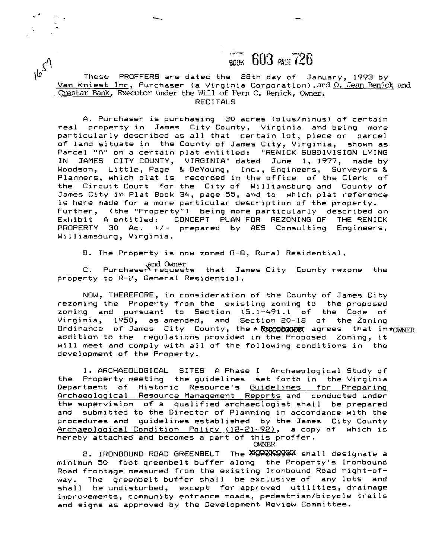## ВООК 603 РАН 726

**\bJ** These PROFFERS are dated the 28th dav of Januarv. 1993 bv , , Van Kniest Inc, Purchaser (a Virginia Corporation) .and 0. Jean **Renick and**  Crestar **Bank, Executor** under **the** Will of Fern C. **Renick, Owner.**  RECITALS

A. Purchaser is purchasing 30 acres (plus/minus) of certain real property in James City County, Virginia and being more particularly described as all that certain lot, piece or parcel of land situate in the County of James City, Virginia, shown as Parcel "A" on a certain plat entitled: "RENICK SUBDIVISION LYING IN JAMES CITY COUNTY, VIRGINIA" dated June 1, 1977, made by Woodson, Little, Page *8.* DeYoung, Inc., Engineers, Surveyors & Planners, which plat is recorded in the office of the Clerk of the Circuit Court for the City of Williamsburg and County of James City in Plat Book 34, page 55, and to which plat reference is here made for a more particular description of the property. Further, (the "Property") being more particularly described on Exhibit A entitled: CONCEPT PLAN FOR REZONING OF THE RENICK PROPERTY 30 Ac. +/- prepared by AES Consulting Engineers, Williamsburg, Virginia.

B. The Property is now zoned R-8, Rural Residential.

and Owner<br>C. Purchaser requests that James City County rezone the property to R-2, General Residential.

NOW, THEREFORE, in consideration of the County of James City rezoning the Property from the existing zoning to the proposed zoning and pursuant to Section 15.1-491.1 of the Code of Virginia, 1950, as amended, and Section 20-18 of the Zoning Ordinance of James City County, the \* Ruxx have agrees that  $in*_{\text{OWNFR}}$ addition to the regulations provided in the Proposed Zoning, it will meet and comply with all of the following conditions in the development of the Property.

1. ARCHAEOLOGICAL SITES A Phase I Archaeological Study of the Property meeting the guidelines set forth in the Virginia Department of Historic Resource's Guidelines for Preparinq Archaeological Resource Management Reports and conducted under the supervision of a qualified archaeologist shall be prepared and submitted to the Director of Planning in accordance with the procedures and guidelines established by the James City County Archaeological Condition Policy (12-21-92), a copy of which is hereby attached and becomes a part of this proffer.

**CWNER** 

2. IRONBOUND ROAD GREENBELT The FOXXXXXXXXX shall designate a minimum 50 foot greenbelt buffer along the Property's Ironbound Road frontage measured from the existing Ironbound Road right-ofway. The greenbelt buffer shall be exclusive of any lots and shall be undisturbed, except for approved utilities, drainage improvements, community entrance roads, pedestrian/bicycle trails and signs as approved by the Development Review Committee.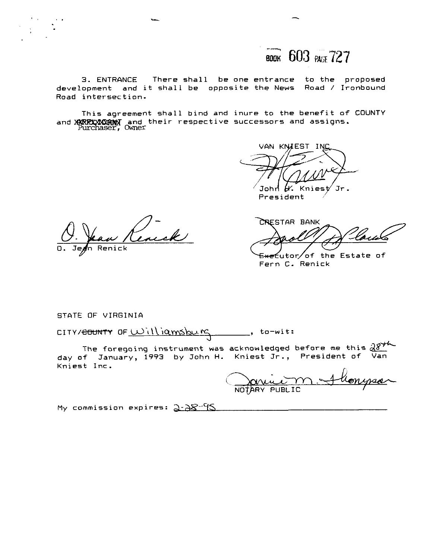

**3. ENTRANCE There shall be one entrance to the proposed development and it shall be opposite the News Road** / **Ironbound Road intersection.** 

**This agreement shall bind and inure to the benefit of COUNTY**  and **XXRRXXXXXXXX** and their respective successors and assigns.<br>Purchaser, Owner

VAN KNIEST IN Jr

John *(X*. Knies)<br>President

'Un Renick

CRESTAR BANK

<del>Exec</del>utor/of the Estate of **Fern C. Renick** 

**STaTE OF VIRGINIA** 

CITY/<del>COUNTY</del> OF <u>Williamsburg</u>, to-wit:<br>The foregoing instrument was acknowledged before me this  $28$ **day of January, 1993 by John H. Kniest Jr., President of Van Kniest Inc.** 

NOVEL MOTARY PUBLIC

My commission expires: 2-28<sup>-95</sup>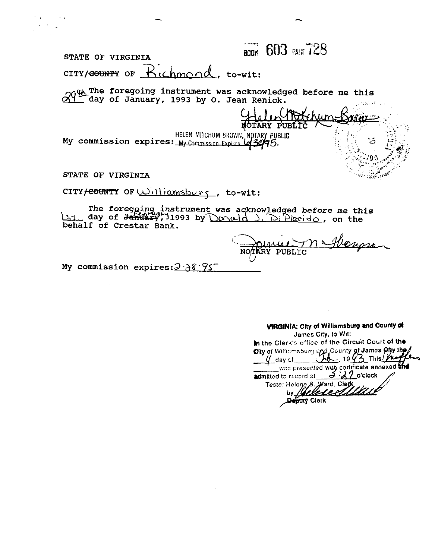**BOOK 603 PAGE 728 STATE OF VIRGINIA CITY/<del>COUNTY</del>** OF  $R$  ichmond, to-wit:  **the foregoing instrument was acknowledged before me this dqfday of January, 1993 by 0. Jean Renick. OTARY PUE My commission expires:** My Commission Expires **(43995) STATE OF VIRGINIA**  ប<sub>ប</sub>្លុកក្នុងវិទ្យាជា **CITY~~~~~WTP OF** L~'\I\ iarvlshu **rq** , **to-wit:**  CITY<del>/COUNT</del>Y OF <u>Williamsburg</u>, to-wit:<br>
The foregoing instrument was acknowledged before me this<br>
Limit day of Jonald Debalf of Crestar Bank

**behalf of Crestar Bank.** 

Hongso LJ

My commission expires:  $3.38.75$ 

**VIRGINIA: City of Williamsburg and County of James City, to Wit: In the Clerk's office of the Circuit Court of the** 

City of Williamsburg and County of James Ofly the was presented with certificate annexed and<br>admitted to record at 3  $\cdot$  2  $\cdot$  0'clock<br>Teste: Helene 8. Ward, Clerk by *Qelede*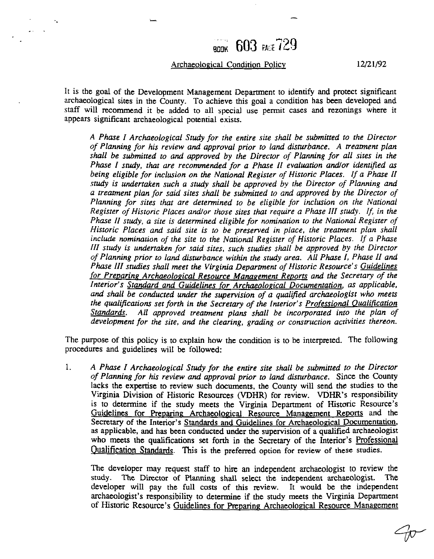## **BOOK 603 PALE** 729

## Archaeological Condition Policy **12/21/92**

 $\ddot{\phantom{a}}$ 

It is the goal of the Development Management Department to identify and protect significant archaeological sites in the County. To achieve this goal a condition has been developed and staff will recommend it be added to all special use permit cases and rezonings where it appears significant archaeological potential exists.

*A Phase I Archaeological Study for the entire site shall be submitted to the Director of Planning for his review and approval prior to land disturbance. A treatment plan shall be submitted to and approved* by *the Direcror of Planning for all sires in the Phase I study, that are recommended for a Phase I1 evaluarion andlor identified* **as**  being eligible for inclusion on the National Register of Historic Places. If a Phase II *study is undertaken such a study shall be approved by rhe Director of Planning and a treatment plan for said sites shall be submitted to and approved* by *the Director of Planning for sites that are determined to be eligible for inclusion on the National Register of Historic Places andlor rhose sires that require a Phase I11 study. If, in the Phase I1 study, a site is determined eligible for nomination to the National Register of Historic Places and said site is to be preserved in place, the treatment plan shall include nomination of the site to the National Register of Historic Places. If a Phase [I1 study is undertaken for said sites, such studies shall be approved by the Director of Planning prior to land disturbance within the study area. All Phase I, Phase 11 and Phase III studies shall meet the Virginia Department of Historic Resource's Guidelines*  for Preparing Archaeological Resource Management Reports and the Secretary of the *Interior's Standard and Guidelines for Archaeolopical Documentation, as applicable. and shall be conducted under the supervision of a qualified archaeologist who meets the qualifications set forth in the Secretary of the Interior's Professional Oualification Standards. A11 approved treatment plans shall be incorporated info the plan of development for the site, and the clearing, grading or construction activities thereon.* 

The purpose of this policy is to explain how the condition is to be interpreted. The following procedures and guidelines will be followed:

1. *A Phase I Archaeological Study for the entire site shall be submitted to the Direcwr of Planning for his review and approval prior to land disturbance.* Since the County lacks the expertise to review such documents, the County will send the studies to the Virginia Division of Historic Resources (VDHR) for review. **VDHR's** responsibility is to determine if the study meets the Virginia Department of Historic Resource's Guidelines for Preparing Archaeological Resource Management Reports and the Secretary of the Interior's Standards and Guidelines for Archaeological Documentation, as applicable, and has been conducted under the supervision of a qualified archaeologist who meets the qualifications set forth in the Secretary of the Interior's Professional Qualification Standards. This is the preferred option for review of these studies.

The developer may request staff to hire an independent archaeologist to review the study. The Director of Planning shall select the independent archaeologist. The developer will pay the full costs of this review. It would be the independent archaeologist's responsibility to determine if the study meets the Virginia Department of Historic Resource's Guidelines for Preparing Archaeological Resource Management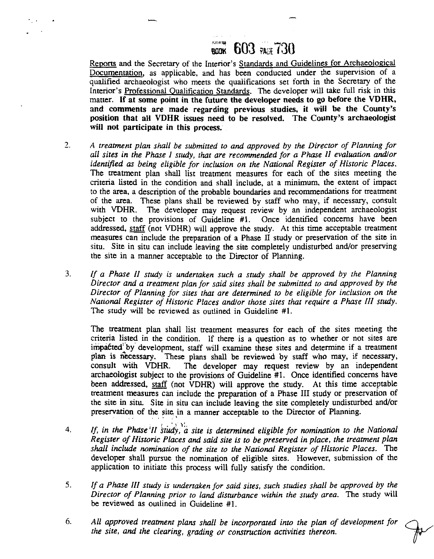## **CONTRE RGDK** 603 PAGE 730

Reports and the Secretary of the Interior's Standards and Guidelines for Archaeological Documentation, as applicable, and has been conducted under the supervision of a qualified archaeologist who meets the qualifications set forth in the Secretary of the Interior's Professional Qualification Standards. The developer will take full risk in this matter. **If** at some point in the future the developer **needs** to go before the **VDHR,**  and comments are made regarding previous studies, it will be the County's position that all **VDHR** issues need to be resolved. The County's archaeologist will not participate in this process.

- 2. *A treatment plan shall be submitted to and approved by the Director of Planning for all sites in the Phase I study, that are recommended for a Phase II evaluation andlor identified as being eligible for inclusion on the National Register of Historic Places.*  The treatment plan shall list treatment measures for each of the sites meeting the criteria Listed in the condition and shall include, at a minimum, the extent of impact to the area, a description of the probable boundaries and recommendations for treatment of the area. These plans shall be reviewed by staff who may, if necessary, consult with VDHR. The developer may request review by an independent archaeologist The developer may request review by an independent archaeologist subject to the provisions of Guideline #1. Once identified concerns have been addressed, staff (not VDHR) will approve the study. At this time acceptable treatment measms can include the preparation of a Phase **11** study or preservation of the site in situ. Site in situ can include leaving the site completely undisturbed and/or preserving the site in a manner acceptable to the Director of Planning.
- **3.** *If a Phase II study is underraken such a study shall be approved by the Planning Director and a treatment plan for said sites shall be submitted to and approved by the Director of Planning for sites that are determined to be eligible for inclusion on the Narionai Register of Historic Places andlor those sires that require a Phase III study.*  The study will be reviewed as outlined in Guideline #I.

The treatment plan shall list treatment measures for each of the sites meeting the criteria listed in the condition. If there is a question as to whether or not sites are impacted by development, staff will examine these sites and determine if a treatment plan is necessary. These plans shall be reviewed by staff who may, if necessary, consult with VDHR. The developer may request review by an independent The developer may request review by an independent archaeologist subject to the provisions of Guideline #I. Once identified concerns have been addressed, staff (not **VDHR)** will approve the study. At this time acceptable treatment measures can include the preparation of a Phase **I11** study or preservation of the site in situ. Site in situ can include leaving the site completely undisturbed and/or preservation of the site in a manner acceptable to the Director of Planning.

- , **'3):**  4. **If, in the Phase'II study, a site is determined eligible for nomination to the National** *Register of Historic Places and said sire is to be preserved in place, the treatment plan shall include nomination of the site to the National Register of Historic Places.* The developer shall pursue the nomination of eligible sites. However, submission of the application to initiate this process will fully satisfy the condition.
- *5. If a Phase III study is underraken for said sites, such studies shall be approved by the Director of Planning prior to land disturbance within the study area.* The study will be reviewed as outlined in Guideline #l.
- *6. All approved treatment plans shall be incorporated into the plan of development for the site, and the clearing, grading or construction activities thereon.*